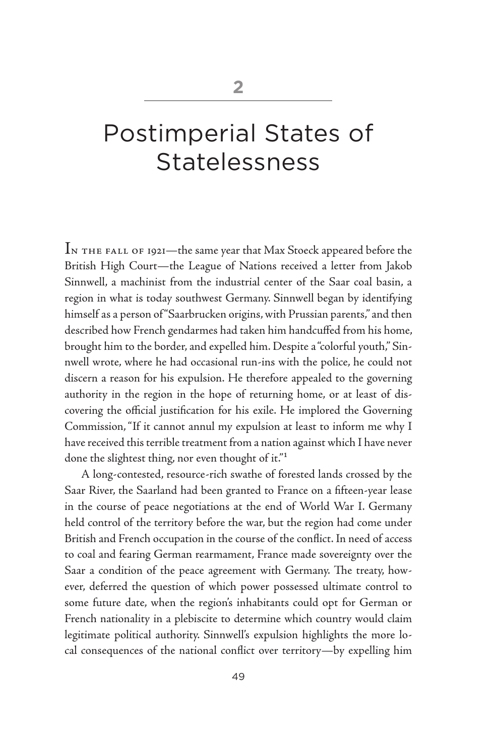# [Postimperial States of](#page--1-0)  Statelessness

 $\rm I$ N THE FALL OF 1921—the same year that Max Stoeck appeared before the British High Court—the League of Nations received a letter from Jakob Sinnwell, a machinist from the industrial center of the Saar coal basin, a region in what is today southwest Germany. Sinnwell began by identifying himself as a person of "Saarbrucken origins, with Prussian parents," and then described how French gendarmes had taken him handcuffed from his home, brought him to the border, and expelled him. Despite a "colorful youth," Sinnwell wrote, where he had occasional run-ins with the police, he could not discern a reason for his expulsion. He therefore appealed to the governing authority in the region in the hope of returning home, or at least of discovering the official justification for his exile. He implored the Governing Commission, "If it cannot annul my expulsion at least to inform me why I have received this terrible treatment from a nation against which I have never done the slightest thing, nor even thought of it."1

A long-contested, resource-rich swathe of forested lands crossed by the Saar River, the Saarland had been granted to France on a fifteen-year lease in the course of peace negotiations at the end of World War I. Germany held control of the territory before the war, but the region had come under British and French occupation in the course of the conflict. In need of access to coal and fearing German rearmament, France made sovereignty over the Saar a condition of the peace agreement with Germany. The treaty, however, deferred the question of which power possessed ultimate control to some future date, when the region's inhabitants could opt for German or French nationality in a plebiscite to determine which country would claim legitimate political authority. Sinnwell's expulsion highlights the more local consequences of the national conflict over territory—by expelling him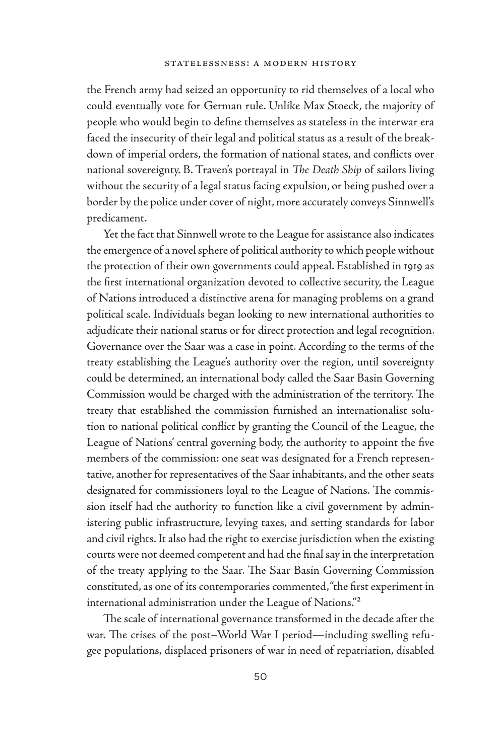the French army had seized an opportunity to rid themselves of a local who could eventually vote for German rule. Unlike Max Stoeck, the majority of people who would begin to define themselves as stateless in the interwar era faced the insecurity of their legal and political status as a result of the breakdown of imperial orders, the formation of national states, and conflicts over national sovereignty. B. Traven's portrayal in *The Death Ship* of sailors living without the security of a legal status facing expulsion, or being pushed over a border by the police under cover of night, more accurately conveys Sinnwell's predicament.

Yet the fact that Sinnwell wrote to the League for assistance also indicates the emergence of a novel sphere of political authority to which people without the protection of their own governments could appeal. Established in 1919 as the first international organization devoted to collective security, the League of Nations introduced a distinctive arena for managing problems on a grand political scale. Individuals began looking to new international authorities to adjudicate their national status or for direct protection and legal recognition. Governance over the Saar was a case in point. According to the terms of the treaty establishing the League's authority over the region, until sovereignty could be determined, an international body called the Saar Basin Governing Commission would be charged with the administration of the territory. The treaty that established the commission furnished an internationalist solution to national political conflict by granting the Council of the League, the League of Nations' central governing body, the authority to appoint the five members of the commission: one seat was designated for a French representative, another for representatives of the Saar inhabitants, and the other seats designated for commissioners loyal to the League of Nations. The commission itself had the authority to function like a civil government by administering public infrastructure, levying taxes, and setting standards for labor and civil rights. It also had the right to exercise jurisdiction when the existing courts were not deemed competent and had the final say in the interpretation of the treaty applying to the Saar. The Saar Basin Governing Commission constituted, as one of its contemporaries commented, "the first experiment in international administration under the League of Nations."2

The scale of international governance transformed in the decade after the war. The crises of the post–World War I period—including swelling refugee populations, displaced prisoners of war in need of repatriation, disabled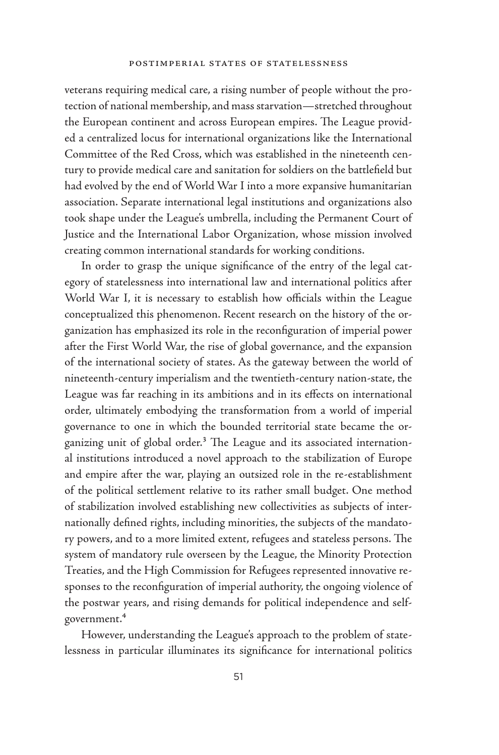veterans requiring medical care, a rising number of people without the protection of national membership, and mass starvation—stretched throughout the European continent and across European empires. The League provided a centralized locus for international organizations like the International Committee of the Red Cross, which was established in the nineteenth century to provide medical care and sanitation for soldiers on the battlefield but had evolved by the end of World War I into a more expansive humanitarian association. Separate international legal institutions and organizations also took shape under the League's umbrella, including the Permanent Court of Justice and the International Labor Organization, whose mission involved creating common international standards for working conditions.

In order to grasp the unique significance of the entry of the legal category of statelessness into international law and international politics after World War I, it is necessary to establish how officials within the League conceptualized this phenomenon. Recent research on the history of the organization has emphasized its role in the reconfiguration of imperial power after the First World War, the rise of global governance, and the expansion of the international society of states. As the gateway between the world of nineteenth-century imperialism and the twentieth-century nation-state, the League was far reaching in its ambitions and in its effects on international order, ultimately embodying the transformation from a world of imperial governance to one in which the bounded territorial state became the organizing unit of global order.<sup>3</sup> The League and its associated international institutions introduced a novel approach to the stabilization of Europe and empire after the war, playing an outsized role in the re-establishment of the political settlement relative to its rather small budget. One method of stabilization involved establishing new collectivities as subjects of internationally defined rights, including minorities, the subjects of the mandatory powers, and to a more limited extent, refugees and stateless persons. The system of mandatory rule overseen by the League, the Minority Protection Treaties, and the High Commission for Refugees represented innovative responses to the reconfiguration of imperial authority, the ongoing violence of the postwar years, and rising demands for political independence and selfgovernment.4

However, understanding the League's approach to the problem of statelessness in particular illuminates its significance for international politics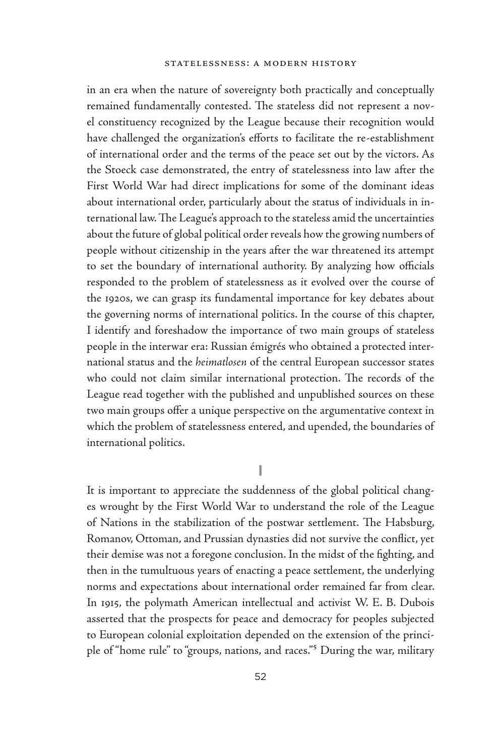in an era when the nature of sovereignty both practically and conceptually remained fundamentally contested. The stateless did not represent a novel constituency recognized by the League because their recognition would have challenged the organization's efforts to facilitate the re-establishment of international order and the terms of the peace set out by the victors. As the Stoeck case demonstrated, the entry of statelessness into law after the First World War had direct implications for some of the dominant ideas about international order, particularly about the status of individuals in international law. The League's approach to the stateless amid the uncertainties about the future of global political order reveals how the growing numbers of people without citizenship in the years after the war threatened its attempt to set the boundary of international authority. By analyzing how officials responded to the problem of statelessness as it evolved over the course of the 1920s, we can grasp its fundamental importance for key debates about the governing norms of international politics. In the course of this chapter, I identify and foreshadow the importance of two main groups of stateless people in the interwar era: Russian émigrés who obtained a protected international status and the *heimatlosen* of the central European successor states who could not claim similar international protection. The records of the League read together with the published and unpublished sources on these two main groups offer a unique perspective on the argumentative context in which the problem of statelessness entered, and upended, the boundaries of international politics.

**I**

It is important to appreciate the suddenness of the global political changes wrought by the First World War to understand the role of the League of Nations in the stabilization of the postwar settlement. The Habsburg, Romanov, Ottoman, and Prussian dynasties did not survive the conflict, yet their demise was not a foregone conclusion. In the midst of the fighting, and then in the tumultuous years of enacting a peace settlement, the underlying norms and expectations about international order remained far from clear. In 1915, the polymath American intellectual and activist W. E. B. Dubois asserted that the prospects for peace and democracy for peoples subjected to European colonial exploitation depended on the extension of the principle of "home rule" to "groups, nations, and races."5 During the war, military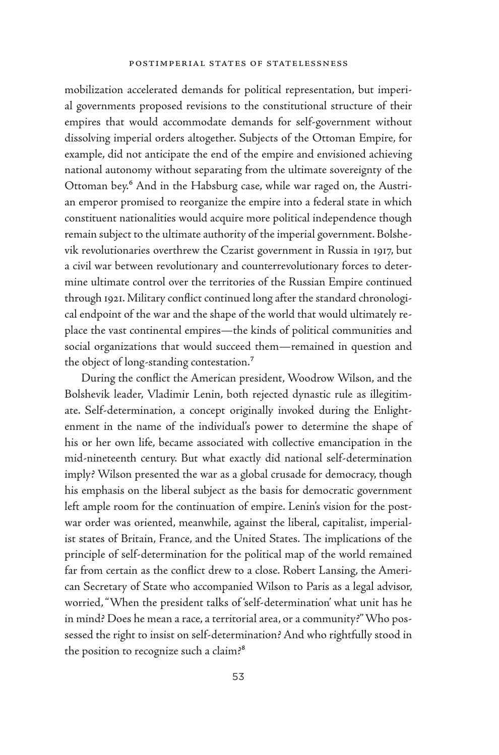mobilization accelerated demands for political representation, but imperial governments proposed revisions to the constitutional structure of their empires that would accommodate demands for self-government without dissolving imperial orders altogether. Subjects of the Ottoman Empire, for example, did not anticipate the end of the empire and envisioned achieving national autonomy without separating from the ultimate sovereignty of the Ottoman bey.6 And in the Habsburg case, while war raged on, the Austrian emperor promised to reorganize the empire into a federal state in which constituent nationalities would acquire more political independence though remain subject to the ultimate authority of the imperial government. Bolshevik revolutionaries overthrew the Czarist government in Russia in 1917, but a civil war between revolutionary and counterrevolutionary forces to determine ultimate control over the territories of the Russian Empire continued through 1921. Military conflict continued long after the standard chronological endpoint of the war and the shape of the world that would ultimately replace the vast continental empires—the kinds of political communities and social organizations that would succeed them—remained in question and the object of long-standing contestation.7

During the conflict the American president, Woodrow Wilson, and the Bolshevik leader, Vladimir Lenin, both rejected dynastic rule as illegitimate. Self-determination, a concept originally invoked during the Enlightenment in the name of the individual's power to determine the shape of his or her own life, became associated with collective emancipation in the mid-nineteenth century. But what exactly did national self-determination imply? Wilson presented the war as a global crusade for democracy, though his emphasis on the liberal subject as the basis for democratic government left ample room for the continuation of empire. Lenin's vision for the postwar order was oriented, meanwhile, against the liberal, capitalist, imperialist states of Britain, France, and the United States. The implications of the principle of self-determination for the political map of the world remained far from certain as the conflict drew to a close. Robert Lansing, the American Secretary of State who accompanied Wilson to Paris as a legal advisor, worried, "When the president talks of 'self-determination' what unit has he in mind? Does he mean a race, a territorial area, or a community?" Who possessed the right to insist on self-determination? And who rightfully stood in the position to recognize such a claim?8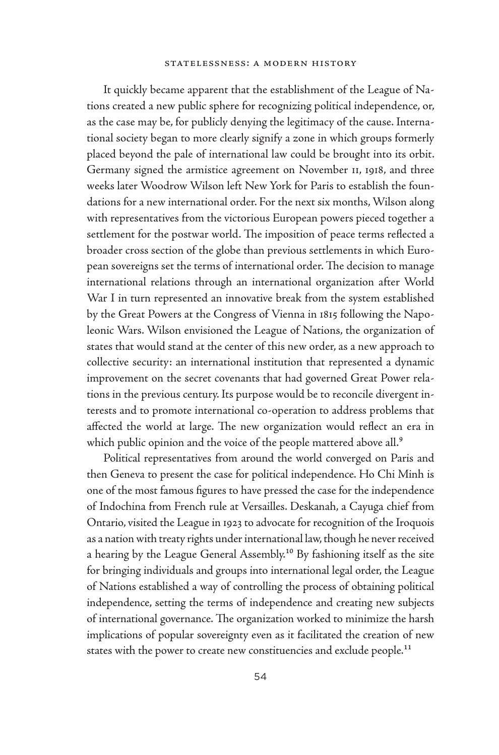It quickly became apparent that the establishment of the League of Nations created a new public sphere for recognizing political independence, or, as the case may be, for publicly denying the legitimacy of the cause. International society began to more clearly signify a zone in which groups formerly placed beyond the pale of international law could be brought into its orbit. Germany signed the armistice agreement on November 11, 1918, and three weeks later Woodrow Wilson left New York for Paris to establish the foundations for a new international order. For the next six months, Wilson along with representatives from the victorious European powers pieced together a settlement for the postwar world. The imposition of peace terms reflected a broader cross section of the globe than previous settlements in which European sovereigns set the terms of international order. The decision to manage international relations through an international organization after World War I in turn represented an innovative break from the system established by the Great Powers at the Congress of Vienna in 1815 following the Napoleonic Wars. Wilson envisioned the League of Nations, the organization of states that would stand at the center of this new order, as a new approach to collective security: an international institution that represented a dynamic improvement on the secret covenants that had governed Great Power relations in the previous century. Its purpose would be to reconcile divergent interests and to promote international co-operation to address problems that affected the world at large. The new organization would reflect an era in which public opinion and the voice of the people mattered above all.<sup>9</sup>

Political representatives from around the world converged on Paris and then Geneva to present the case for political independence. Ho Chi Minh is one of the most famous figures to have pressed the case for the independence of Indochina from French rule at Versailles. Deskanah, a Cayuga chief from Ontario, visited the League in 1923 to advocate for recognition of the Iroquois as a nation with treaty rights under international law, though he never received a hearing by the League General Assembly.10 By fashioning itself as the site for bringing individuals and groups into international legal order, the League of Nations established a way of controlling the process of obtaining political independence, setting the terms of independence and creating new subjects of international governance. The organization worked to minimize the harsh implications of popular sovereignty even as it facilitated the creation of new states with the power to create new constituencies and exclude people.<sup>11</sup>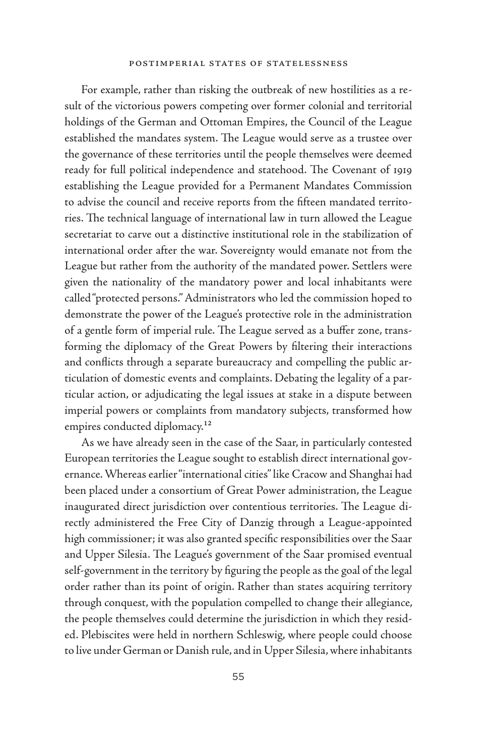For example, rather than risking the outbreak of new hostilities as a result of the victorious powers competing over former colonial and territorial holdings of the German and Ottoman Empires, the Council of the League established the mandates system. The League would serve as a trustee over the governance of these territories until the people themselves were deemed ready for full political independence and statehood. The Covenant of 1919 establishing the League provided for a Permanent Mandates Commission to advise the council and receive reports from the fifteen mandated territories. The technical language of international law in turn allowed the League secretariat to carve out a distinctive institutional role in the stabilization of international order after the war. Sovereignty would emanate not from the League but rather from the authority of the mandated power. Settlers were given the nationality of the mandatory power and local inhabitants were called "protected persons." Administrators who led the commission hoped to demonstrate the power of the League's protective role in the administration of a gentle form of imperial rule. The League served as a buffer zone, transforming the diplomacy of the Great Powers by filtering their interactions and conflicts through a separate bureaucracy and compelling the public articulation of domestic events and complaints. Debating the legality of a particular action, or adjudicating the legal issues at stake in a dispute between imperial powers or complaints from mandatory subjects, transformed how empires conducted diplomacy.<sup>12</sup>

As we have already seen in the case of the Saar, in particularly contested European territories the League sought to establish direct international governance. Whereas earlier "international cities" like Cracow and Shanghai had been placed under a consortium of Great Power administration, the League inaugurated direct jurisdiction over contentious territories. The League directly administered the Free City of Danzig through a League-appointed high commissioner; it was also granted specific responsibilities over the Saar and Upper Silesia. The League's government of the Saar promised eventual self-government in the territory by figuring the people as the goal of the legal order rather than its point of origin. Rather than states acquiring territory through conquest, with the population compelled to change their allegiance, the people themselves could determine the jurisdiction in which they resided. Plebiscites were held in northern Schleswig, where people could choose to live under German or Danish rule, and in Upper Silesia, where inhabitants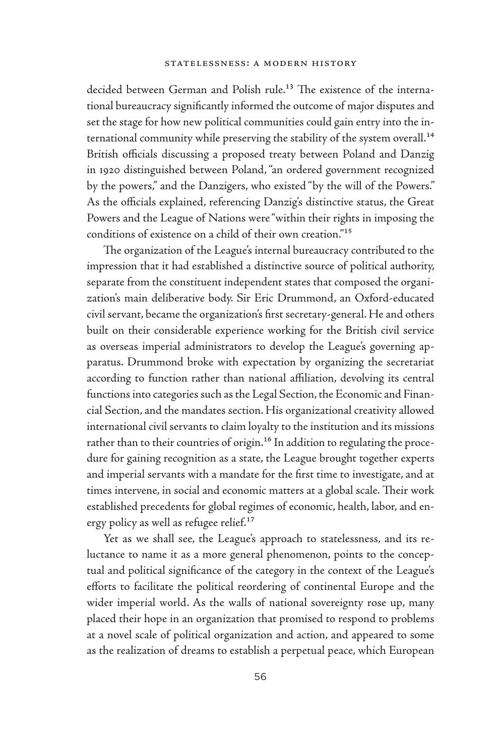decided between German and Polish rule.<sup>13</sup> The existence of the international bureaucracy significantly informed the outcome of major disputes and set the stage for how new political communities could gain entry into the international community while preserving the stability of the system overall.<sup>14</sup> British officials discussing a proposed treaty between Poland and Danzig in 1920 distinguished between Poland, "an ordered government recognized by the powers," and the Danzigers, who existed "by the will of the Powers." As the officials explained, referencing Danzig's distinctive status, the Great Powers and the League of Nations were "within their rights in imposing the conditions of existence on a child of their own creation."15

The organization of the League's internal bureaucracy contributed to the impression that it had established a distinctive source of political authority, separate from the constituent independent states that composed the organization's main deliberative body. Sir Eric Drummond, an Oxford-educated civil servant, became the organization's first secretary-general. He and others built on their considerable experience working for the British civil service as overseas imperial administrators to develop the League's governing apparatus. Drummond broke with expectation by organizing the secretariat according to function rather than national affiliation, devolving its central functions into categories such as the Legal Section, the Economic and Financial Section, and the mandates section. His organizational creativity allowed international civil servants to claim loyalty to the institution and its missions rather than to their countries of origin.<sup>16</sup> In addition to regulating the procedure for gaining recognition as a state, the League brought together experts and imperial servants with a mandate for the first time to investigate, and at times intervene, in social and economic matters at a global scale. Their work established precedents for global regimes of economic, health, labor, and energy policy as well as refugee relief.<sup>17</sup>

Yet as we shall see, the League's approach to statelessness, and its reluctance to name it as a more general phenomenon, points to the conceptual and political significance of the category in the context of the League's efforts to facilitate the political reordering of continental Europe and the wider imperial world. As the walls of national sovereignty rose up, many placed their hope in an organization that promised to respond to problems at a novel scale of political organization and action, and appeared to some as the realization of dreams to establish a perpetual peace, which European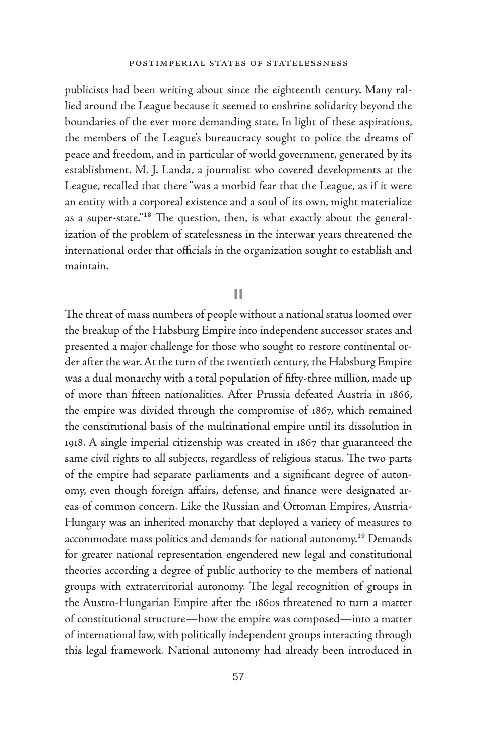publicists had been writing about since the eighteenth century. Many rallied around the League because it seemed to enshrine solidarity beyond the boundaries of the ever more demanding state. In light of these aspirations, the members of the League's bureaucracy sought to police the dreams of peace and freedom, and in particular of world government, generated by its establishment. M. J. Landa, a journalist who covered developments at the League, recalled that there "was a morbid fear that the League, as if it were an entity with a corporeal existence and a soul of its own, might materialize as a super-state."18 The question, then, is what exactly about the generalization of the problem of statelessness in the interwar years threatened the international order that officials in the organization sought to establish and maintain.

**II**

The threat of mass numbers of people without a national status loomed over the breakup of the Habsburg Empire into independent successor states and presented a major challenge for those who sought to restore continental order after the war. At the turn of the twentieth century, the Habsburg Empire was a dual monarchy with a total population of fifty-three million, made up of more than fifteen nationalities. After Prussia defeated Austria in 1866, the empire was divided through the compromise of 1867, which remained the constitutional basis of the multinational empire until its dissolution in 1918. A single imperial citizenship was created in 1867 that guaranteed the same civil rights to all subjects, regardless of religious status. The two parts of the empire had separate parliaments and a significant degree of autonomy, even though foreign affairs, defense, and finance were designated areas of common concern. Like the Russian and Ottoman Empires, Austria-Hungary was an inherited monarchy that deployed a variety of measures to accommodate mass politics and demands for national autonomy.<sup>19</sup> Demands for greater national representation engendered new legal and constitutional theories according a degree of public authority to the members of national groups with extraterritorial autonomy. The legal recognition of groups in the Austro-Hungarian Empire after the 1860s threatened to turn a matter of constitutional structure—how the empire was composed—into a matter of international law, with politically independent groups interacting through this legal framework. National autonomy had already been introduced in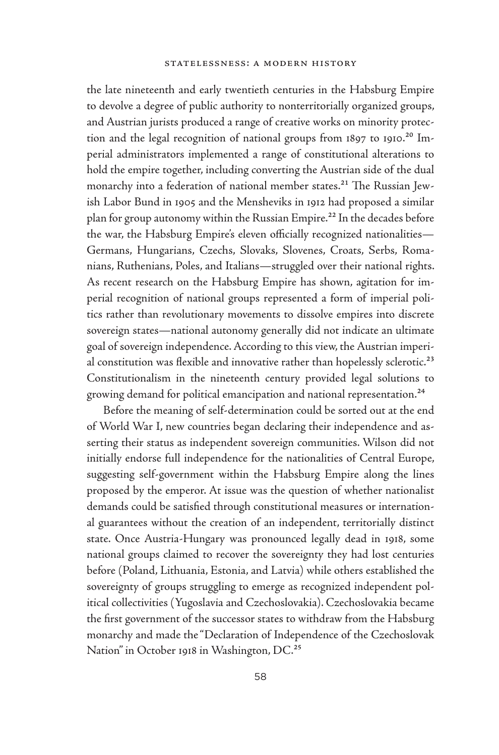the late nineteenth and early twentieth centuries in the Habsburg Empire to devolve a degree of public authority to nonterritorially organized groups, and Austrian jurists produced a range of creative works on minority protection and the legal recognition of national groups from 1897 to 1910.<sup>20</sup> Imperial administrators implemented a range of constitutional alterations to hold the empire together, including converting the Austrian side of the dual monarchy into a federation of national member states.<sup>21</sup> The Russian Jewish Labor Bund in 1905 and the Mensheviks in 1912 had proposed a similar plan for group autonomy within the Russian Empire.<sup>22</sup> In the decades before the war, the Habsburg Empire's eleven officially recognized nationalities— Germans, Hungarians, Czechs, Slovaks, Slovenes, Croats, Serbs, Romanians, Ruthenians, Poles, and Italians—struggled over their national rights. As recent research on the Habsburg Empire has shown, agitation for imperial recognition of national groups represented a form of imperial politics rather than revolutionary movements to dissolve empires into discrete sovereign states—national autonomy generally did not indicate an ultimate goal of sovereign independence. According to this view, the Austrian imperial constitution was flexible and innovative rather than hopelessly sclerotic.<sup>23</sup> Constitutionalism in the nineteenth century provided legal solutions to growing demand for political emancipation and national representation.<sup>24</sup>

Before the meaning of self-determination could be sorted out at the end of World War I, new countries began declaring their independence and asserting their status as independent sovereign communities. Wilson did not initially endorse full independence for the nationalities of Central Europe, suggesting self-government within the Habsburg Empire along the lines proposed by the emperor. At issue was the question of whether nationalist demands could be satisfied through constitutional measures or international guarantees without the creation of an independent, territorially distinct state. Once Austria-Hungary was pronounced legally dead in 1918, some national groups claimed to recover the sovereignty they had lost centuries before (Poland, Lithuania, Estonia, and Latvia) while others established the sovereignty of groups struggling to emerge as recognized independent political collectivities (Yugoslavia and Czechoslovakia). Czechoslovakia became the first government of the successor states to withdraw from the Habsburg monarchy and made the "Declaration of Independence of the Czechoslovak Nation" in October 1918 in Washington, DC.<sup>25</sup>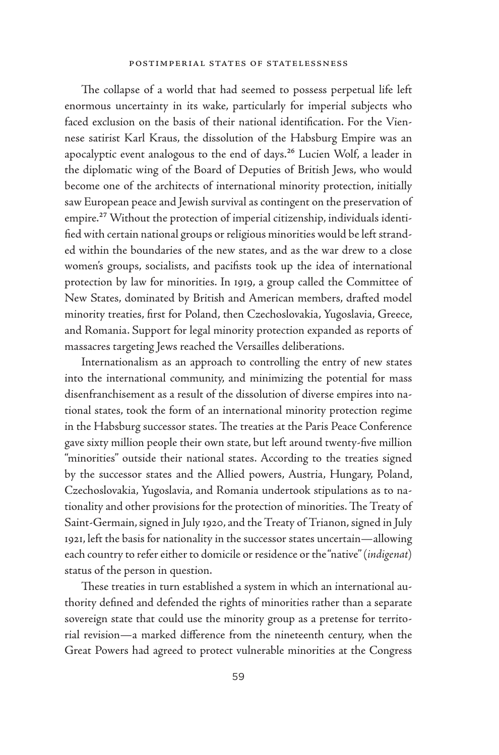The collapse of a world that had seemed to possess perpetual life left enormous uncertainty in its wake, particularly for imperial subjects who faced exclusion on the basis of their national identification. For the Viennese satirist Karl Kraus, the dissolution of the Habsburg Empire was an apocalyptic event analogous to the end of days.<sup>26</sup> Lucien Wolf, a leader in the diplomatic wing of the Board of Deputies of British Jews, who would become one of the architects of international minority protection, initially saw European peace and Jewish survival as contingent on the preservation of empire.<sup>27</sup> Without the protection of imperial citizenship, individuals identified with certain national groups or religious minorities would be left stranded within the boundaries of the new states, and as the war drew to a close women's groups, socialists, and pacifists took up the idea of international protection by law for minorities. In 1919, a group called the Committee of New States, dominated by British and American members, drafted model minority treaties, first for Poland, then Czechoslovakia, Yugoslavia, Greece, and Romania. Support for legal minority protection expanded as reports of massacres targeting Jews reached the Versailles deliberations.

Internationalism as an approach to controlling the entry of new states into the international community, and minimizing the potential for mass disenfranchisement as a result of the dissolution of diverse empires into national states, took the form of an international minority protection regime in the Habsburg successor states. The treaties at the Paris Peace Conference gave sixty million people their own state, but left around twenty-five million "minorities" outside their national states. According to the treaties signed by the successor states and the Allied powers, Austria, Hungary, Poland, Czechoslovakia, Yugoslavia, and Romania undertook stipulations as to nationality and other provisions for the protection of minorities. The Treaty of Saint-Germain, signed in July 1920, and the Treaty of Trianon, signed in July 1921, left the basis for nationality in the successor states uncertain—allowing each country to refer either to domicile or residence or the "native" (*indigenat*) status of the person in question.

These treaties in turn established a system in which an international authority defined and defended the rights of minorities rather than a separate sovereign state that could use the minority group as a pretense for territorial revision—a marked difference from the nineteenth century, when the Great Powers had agreed to protect vulnerable minorities at the Congress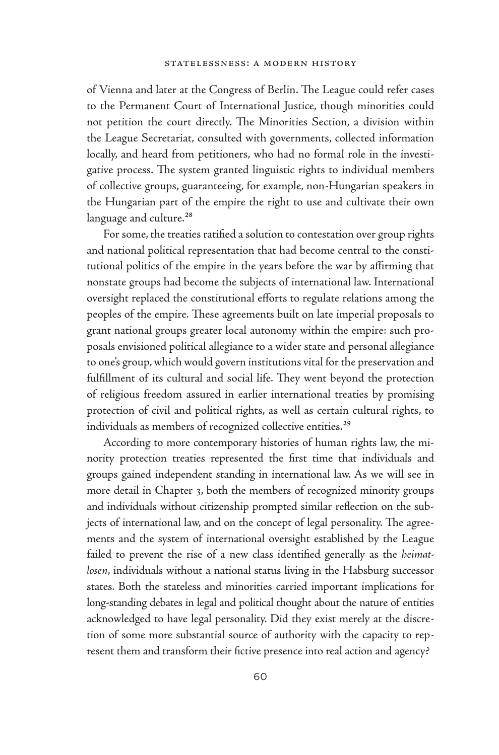of Vienna and later at the Congress of Berlin. The League could refer cases to the Permanent Court of International Justice, though minorities could not petition the court directly. The Minorities Section, a division within the League Secretariat, consulted with governments, collected information locally, and heard from petitioners, who had no formal role in the investigative process. The system granted linguistic rights to individual members of collective groups, guaranteeing, for example, non-Hungarian speakers in the Hungarian part of the empire the right to use and cultivate their own language and culture.<sup>28</sup>

For some, the treaties ratified a solution to contestation over group rights and national political representation that had become central to the constitutional politics of the empire in the years before the war by affirming that nonstate groups had become the subjects of international law. International oversight replaced the constitutional efforts to regulate relations among the peoples of the empire. These agreements built on late imperial proposals to grant national groups greater local autonomy within the empire: such proposals envisioned political allegiance to a wider state and personal allegiance to one's group, which would govern institutions vital for the preservation and fulfillment of its cultural and social life. They went beyond the protection of religious freedom assured in earlier international treaties by promising protection of civil and political rights, as well as certain cultural rights, to individuals as members of recognized collective entities.<sup>29</sup>

According to more contemporary histories of human rights law, the minority protection treaties represented the first time that individuals and groups gained independent standing in international law. As we will see in more detail in Chapter 3, both the members of recognized minority groups and individuals without citizenship prompted similar reflection on the subjects of international law, and on the concept of legal personality. The agreements and the system of international oversight established by the League failed to prevent the rise of a new class identified generally as the *heimatlosen*, individuals without a national status living in the Habsburg successor states. Both the stateless and minorities carried important implications for long-standing debates in legal and political thought about the nature of entities acknowledged to have legal personality. Did they exist merely at the discretion of some more substantial source of authority with the capacity to represent them and transform their fictive presence into real action and agency?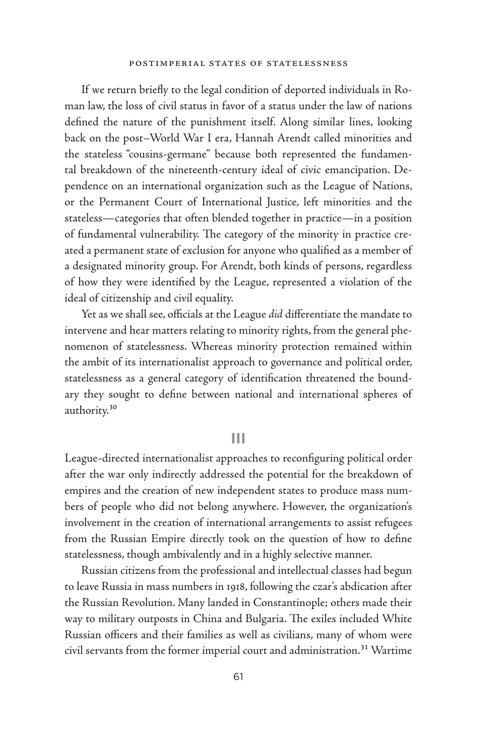If we return briefly to the legal condition of deported individuals in Roman law, the loss of civil status in favor of a status under the law of nations defined the nature of the punishment itself. Along similar lines, looking back on the post–World War I era, Hannah Arendt called minorities and the stateless "cousins-germane" because both represented the fundamental breakdown of the nineteenth-century ideal of civic emancipation. Dependence on an international organization such as the League of Nations, or the Permanent Court of International Justice, left minorities and the stateless—categories that often blended together in practice—in a position of fundamental vulnerability. The category of the minority in practice created a permanent state of exclusion for anyone who qualified as a member of a designated minority group. For Arendt, both kinds of persons, regardless of how they were identified by the League, represented a violation of the ideal of citizenship and civil equality.

Yet as we shall see, officials at the League *did* differentiate the mandate to intervene and hear matters relating to minority rights, from the general phenomenon of statelessness. Whereas minority protection remained within the ambit of its internationalist approach to governance and political order, statelessness as a general category of identification threatened the boundary they sought to define between national and international spheres of authority.30

#### **III**

League-directed internationalist approaches to reconfiguring political order after the war only indirectly addressed the potential for the breakdown of empires and the creation of new independent states to produce mass numbers of people who did not belong anywhere. However, the organization's involvement in the creation of international arrangements to assist refugees from the Russian Empire directly took on the question of how to define statelessness, though ambivalently and in a highly selective manner.

Russian citizens from the professional and intellectual classes had begun to leave Russia in mass numbers in 1918, following the czar's abdication after the Russian Revolution. Many landed in Constantinople; others made their way to military outposts in China and Bulgaria. The exiles included White Russian officers and their families as well as civilians, many of whom were civil servants from the former imperial court and administration.<sup>31</sup> Wartime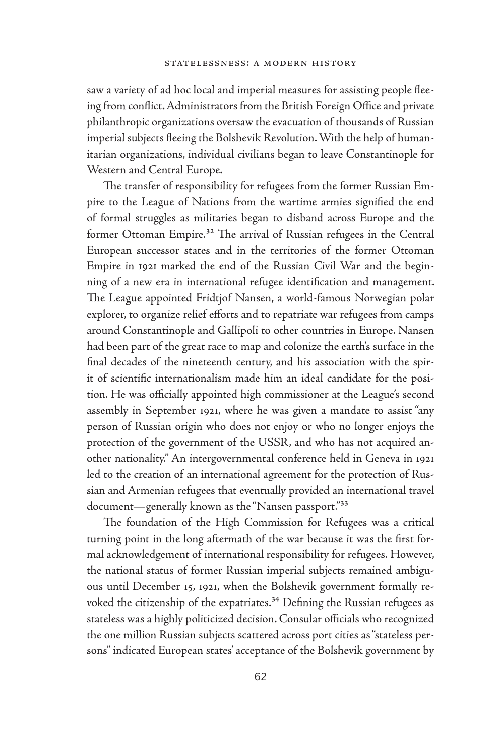saw a variety of ad hoc local and imperial measures for assisting people fleeing from conflict. Administrators from the British Foreign Office and private philanthropic organizations oversaw the evacuation of thousands of Russian imperial subjects fleeing the Bolshevik Revolution. With the help of humanitarian organizations, individual civilians began to leave Constantinople for Western and Central Europe.

The transfer of responsibility for refugees from the former Russian Empire to the League of Nations from the wartime armies signified the end of formal struggles as militaries began to disband across Europe and the former Ottoman Empire.<sup>32</sup> The arrival of Russian refugees in the Central European successor states and in the territories of the former Ottoman Empire in 1921 marked the end of the Russian Civil War and the beginning of a new era in international refugee identification and management. The League appointed Fridtjof Nansen, a world-famous Norwegian polar explorer, to organize relief efforts and to repatriate war refugees from camps around Constantinople and Gallipoli to other countries in Europe. Nansen had been part of the great race to map and colonize the earth's surface in the final decades of the nineteenth century, and his association with the spirit of scientific internationalism made him an ideal candidate for the position. He was officially appointed high commissioner at the League's second assembly in September 1921, where he was given a mandate to assist "any person of Russian origin who does not enjoy or who no longer enjoys the protection of the government of the USSR, and who has not acquired another nationality." An intergovernmental conference held in Geneva in 1921 led to the creation of an international agreement for the protection of Russian and Armenian refugees that eventually provided an international travel document—generally known as the "Nansen passport."33

The foundation of the High Commission for Refugees was a critical turning point in the long aftermath of the war because it was the first formal acknowledgement of international responsibility for refugees. However, the national status of former Russian imperial subjects remained ambiguous until December 15, 1921, when the Bolshevik government formally revoked the citizenship of the expatriates.<sup>34</sup> Defining the Russian refugees as stateless was a highly politicized decision. Consular officials who recognized the one million Russian subjects scattered across port cities as "stateless persons" indicated European states' acceptance of the Bolshevik government by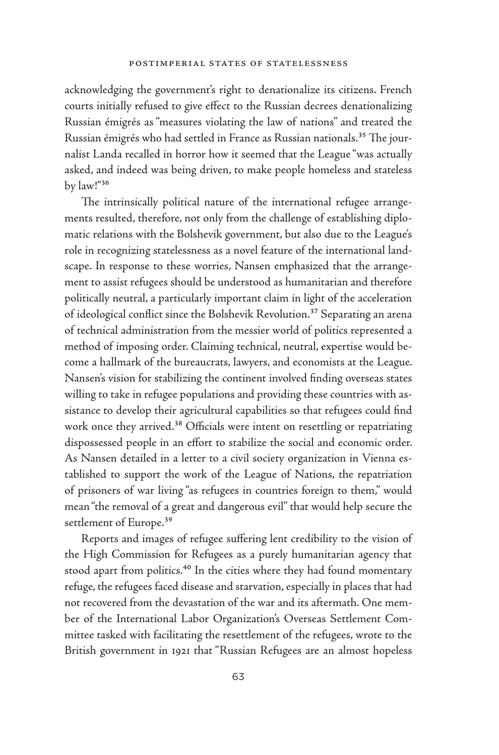acknowledging the government's right to denationalize its citizens. French courts initially refused to give effect to the Russian decrees denationalizing Russian émigrés as "measures violating the law of nations" and treated the Russian émigrés who had settled in France as Russian nationals.<sup>35</sup> The journalist Landa recalled in horror how it seemed that the League "was actually asked, and indeed was being driven, to make people homeless and stateless by law!"36

The intrinsically political nature of the international refugee arrangements resulted, therefore, not only from the challenge of establishing diplomatic relations with the Bolshevik government, but also due to the League's role in recognizing statelessness as a novel feature of the international landscape. In response to these worries, Nansen emphasized that the arrangement to assist refugees should be understood as humanitarian and therefore politically neutral, a particularly important claim in light of the acceleration of ideological conflict since the Bolshevik Revolution.<sup>37</sup> Separating an arena of technical administration from the messier world of politics represented a method of imposing order. Claiming technical, neutral, expertise would become a hallmark of the bureaucrats, lawyers, and economists at the League. Nansen's vision for stabilizing the continent involved finding overseas states willing to take in refugee populations and providing these countries with assistance to develop their agricultural capabilities so that refugees could find work once they arrived.<sup>38</sup> Officials were intent on resettling or repatriating dispossessed people in an effort to stabilize the social and economic order. As Nansen detailed in a letter to a civil society organization in Vienna established to support the work of the League of Nations, the repatriation of prisoners of war living "as refugees in countries foreign to them," would mean "the removal of a great and dangerous evil" that would help secure the settlement of Europe.<sup>39</sup>

Reports and images of refugee suffering lent credibility to the vision of the High Commission for Refugees as a purely humanitarian agency that stood apart from politics.<sup>40</sup> In the cities where they had found momentary refuge, the refugees faced disease and starvation, especially in places that had not recovered from the devastation of the war and its aftermath. One member of the International Labor Organization's Overseas Settlement Committee tasked with facilitating the resettlement of the refugees, wrote to the British government in 1921 that "Russian Refugees are an almost hopeless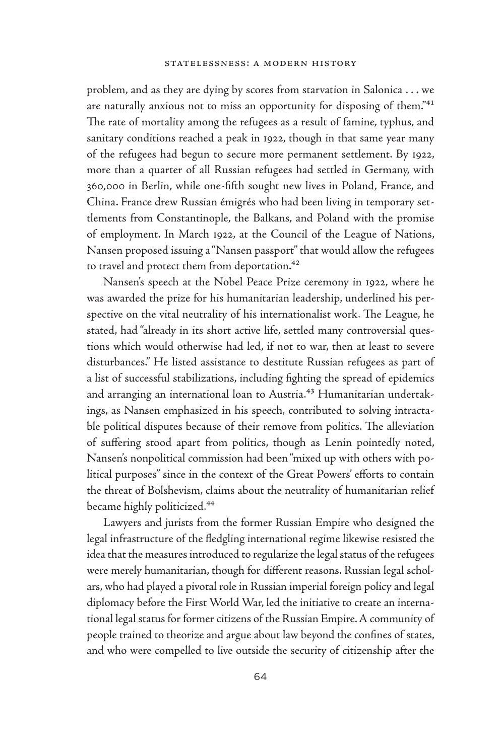problem, and as they are dying by scores from starvation in Salonica . . . we are naturally anxious not to miss an opportunity for disposing of them."41 The rate of mortality among the refugees as a result of famine, typhus, and sanitary conditions reached a peak in 1922, though in that same year many of the refugees had begun to secure more permanent settlement. By 1922, more than a quarter of all Russian refugees had settled in Germany, with 360,000 in Berlin, while one-fifth sought new lives in Poland, France, and China. France drew Russian émigrés who had been living in temporary settlements from Constantinople, the Balkans, and Poland with the promise of employment. In March 1922, at the Council of the League of Nations, Nansen proposed issuing a "Nansen passport" that would allow the refugees to travel and protect them from deportation.<sup>42</sup>

Nansen's speech at the Nobel Peace Prize ceremony in 1922, where he was awarded the prize for his humanitarian leadership, underlined his perspective on the vital neutrality of his internationalist work. The League, he stated, had "already in its short active life, settled many controversial questions which would otherwise had led, if not to war, then at least to severe disturbances." He listed assistance to destitute Russian refugees as part of a list of successful stabilizations, including fighting the spread of epidemics and arranging an international loan to Austria.<sup>43</sup> Humanitarian undertakings, as Nansen emphasized in his speech, contributed to solving intractable political disputes because of their remove from politics. The alleviation of suffering stood apart from politics, though as Lenin pointedly noted, Nansen's nonpolitical commission had been "mixed up with others with political purposes" since in the context of the Great Powers' efforts to contain the threat of Bolshevism, claims about the neutrality of humanitarian relief became highly politicized.44

Lawyers and jurists from the former Russian Empire who designed the legal infrastructure of the fledgling international regime likewise resisted the idea that the measures introduced to regularize the legal status of the refugees were merely humanitarian, though for different reasons. Russian legal scholars, who had played a pivotal role in Russian imperial foreign policy and legal diplomacy before the First World War, led the initiative to create an international legal status for former citizens of the Russian Empire. A community of people trained to theorize and argue about law beyond the confines of states, and who were compelled to live outside the security of citizenship after the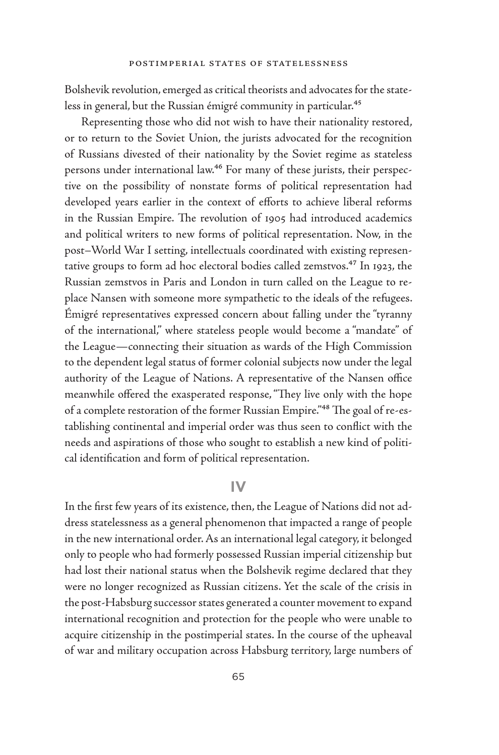Bolshevik revolution, emerged as critical theorists and advocates for the stateless in general, but the Russian émigré community in particular.<sup>45</sup>

Representing those who did not wish to have their nationality restored, or to return to the Soviet Union, the jurists advocated for the recognition of Russians divested of their nationality by the Soviet regime as stateless persons under international law.46 For many of these jurists, their perspective on the possibility of nonstate forms of political representation had developed years earlier in the context of efforts to achieve liberal reforms in the Russian Empire. The revolution of 1905 had introduced academics and political writers to new forms of political representation. Now, in the post–World War I setting, intellectuals coordinated with existing representative groups to form ad hoc electoral bodies called zemstvos.<sup>47</sup> In 1923, the Russian zemstvos in Paris and London in turn called on the League to replace Nansen with someone more sympathetic to the ideals of the refugees. Émigré representatives expressed concern about falling under the "tyranny of the international," where stateless people would become a "mandate" of the League—connecting their situation as wards of the High Commission to the dependent legal status of former colonial subjects now under the legal authority of the League of Nations. A representative of the Nansen office meanwhile offered the exasperated response, "They live only with the hope of a complete restoration of the former Russian Empire."48 The goal of re-establishing continental and imperial order was thus seen to conflict with the needs and aspirations of those who sought to establish a new kind of political identification and form of political representation.

### **IV**

In the first few years of its existence, then, the League of Nations did not address statelessness as a general phenomenon that impacted a range of people in the new international order. As an international legal category, it belonged only to people who had formerly possessed Russian imperial citizenship but had lost their national status when the Bolshevik regime declared that they were no longer recognized as Russian citizens. Yet the scale of the crisis in the post-Habsburg successor states generated a counter movement to expand international recognition and protection for the people who were unable to acquire citizenship in the postimperial states. In the course of the upheaval of war and military occupation across Habsburg territory, large numbers of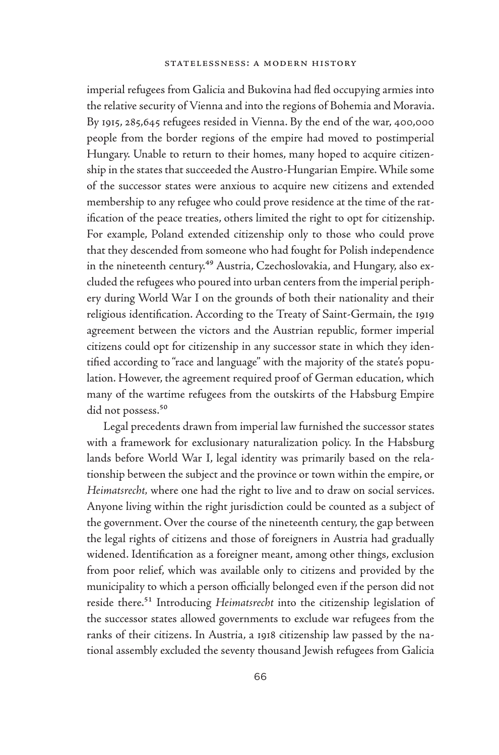imperial refugees from Galicia and Bukovina had fled occupying armies into the relative security of Vienna and into the regions of Bohemia and Moravia. By 1915, 285,645 refugees resided in Vienna. By the end of the war, 400,000 people from the border regions of the empire had moved to postimperial Hungary. Unable to return to their homes, many hoped to acquire citizenship in the states that succeeded the Austro-Hungarian Empire. While some of the successor states were anxious to acquire new citizens and extended membership to any refugee who could prove residence at the time of the ratification of the peace treaties, others limited the right to opt for citizenship. For example, Poland extended citizenship only to those who could prove that they descended from someone who had fought for Polish independence in the nineteenth century.<sup>49</sup> Austria, Czechoslovakia, and Hungary, also excluded the refugees who poured into urban centers from the imperial periphery during World War I on the grounds of both their nationality and their religious identification. According to the Treaty of Saint-Germain, the 1919 agreement between the victors and the Austrian republic, former imperial citizens could opt for citizenship in any successor state in which they identified according to "race and language" with the majority of the state's population. However, the agreement required proof of German education, which many of the wartime refugees from the outskirts of the Habsburg Empire did not possess.<sup>50</sup>

Legal precedents drawn from imperial law furnished the successor states with a framework for exclusionary naturalization policy. In the Habsburg lands before World War I, legal identity was primarily based on the relationship between the subject and the province or town within the empire, or *Heimatsrecht,* where one had the right to live and to draw on social services. Anyone living within the right jurisdiction could be counted as a subject of the government. Over the course of the nineteenth century, the gap between the legal rights of citizens and those of foreigners in Austria had gradually widened. Identification as a foreigner meant, among other things, exclusion from poor relief, which was available only to citizens and provided by the municipality to which a person officially belonged even if the person did not reside there.51 Introducing *Heimatsrecht* into the citizenship legislation of the successor states allowed governments to exclude war refugees from the ranks of their citizens. In Austria, a 1918 citizenship law passed by the national assembly excluded the seventy thousand Jewish refugees from Galicia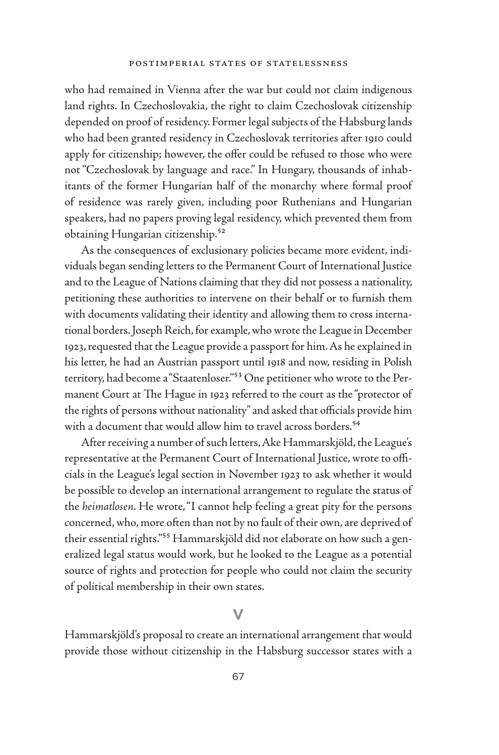who had remained in Vienna after the war but could not claim indigenous land rights. In Czechoslovakia, the right to claim Czechoslovak citizenship depended on proof of residency. Former legal subjects of the Habsburg lands who had been granted residency in Czechoslovak territories after 1910 could apply for citizenship; however, the offer could be refused to those who were not "Czechoslovak by language and race." In Hungary, thousands of inhabitants of the former Hungarian half of the monarchy where formal proof of residence was rarely given, including poor Ruthenians and Hungarian speakers, had no papers proving legal residency, which prevented them from obtaining Hungarian citizenship.52

As the consequences of exclusionary policies became more evident, individuals began sending letters to the Permanent Court of International Justice and to the League of Nations claiming that they did not possess a nationality, petitioning these authorities to intervene on their behalf or to furnish them with documents validating their identity and allowing them to cross international borders. Joseph Reich, for example, who wrote the League in December 1923, requested that the League provide a passport for him. As he explained in his letter, he had an Austrian passport until 1918 and now, residing in Polish territory, had become a "Staatenloser."<sup>53</sup> One petitioner who wrote to the Permanent Court at The Hague in 1923 referred to the court as the "protector of the rights of persons without nationality" and asked that officials provide him with a document that would allow him to travel across borders.<sup>54</sup>

After receiving a number of such letters, Ake Hammarskjöld, the League's representative at the Permanent Court of International Justice, wrote to officials in the League's legal section in November 1923 to ask whether it would be possible to develop an international arrangement to regulate the status of the *heimatlosen*. He wrote, "I cannot help feeling a great pity for the persons concerned, who, more often than not by no fault of their own, are deprived of their essential rights."55 Hammarskjöld did not elaborate on how such a generalized legal status would work, but he looked to the League as a potential source of rights and protection for people who could not claim the security of political membership in their own states.

**V**

Hammarskjöld's proposal to create an international arrangement that would provide those without citizenship in the Habsburg successor states with a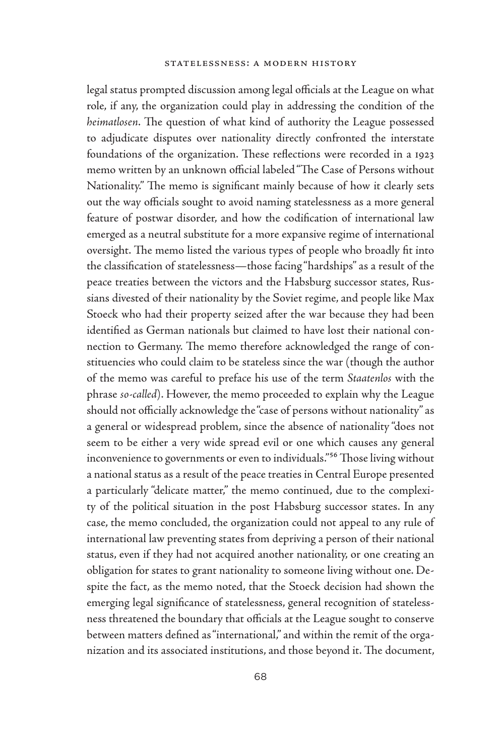legal status prompted discussion among legal officials at the League on what role, if any, the organization could play in addressing the condition of the *heimatlosen*. The question of what kind of authority the League possessed to adjudicate disputes over nationality directly confronted the interstate foundations of the organization. These reflections were recorded in a 1923 memo written by an unknown official labeled "The Case of Persons without Nationality." The memo is significant mainly because of how it clearly sets out the way officials sought to avoid naming statelessness as a more general feature of postwar disorder, and how the codification of international law emerged as a neutral substitute for a more expansive regime of international oversight. The memo listed the various types of people who broadly fit into the classification of statelessness—those facing "hardships" as a result of the peace treaties between the victors and the Habsburg successor states, Russians divested of their nationality by the Soviet regime, and people like Max Stoeck who had their property seized after the war because they had been identified as German nationals but claimed to have lost their national connection to Germany. The memo therefore acknowledged the range of constituencies who could claim to be stateless since the war (though the author of the memo was careful to preface his use of the term *Staatenlos* with the phrase *so-called*). However, the memo proceeded to explain why the League should not officially acknowledge the "case of persons without nationality" as a general or widespread problem, since the absence of nationality "does not seem to be either a very wide spread evil or one which causes any general inconvenience to governments or even to individuals."<sup>56</sup> Those living without a national status as a result of the peace treaties in Central Europe presented a particularly "delicate matter," the memo continued, due to the complexity of the political situation in the post Habsburg successor states. In any case, the memo concluded, the organization could not appeal to any rule of international law preventing states from depriving a person of their national status, even if they had not acquired another nationality, or one creating an obligation for states to grant nationality to someone living without one. Despite the fact, as the memo noted, that the Stoeck decision had shown the emerging legal significance of statelessness, general recognition of statelessness threatened the boundary that officials at the League sought to conserve between matters defined as "international," and within the remit of the organization and its associated institutions, and those beyond it. The document,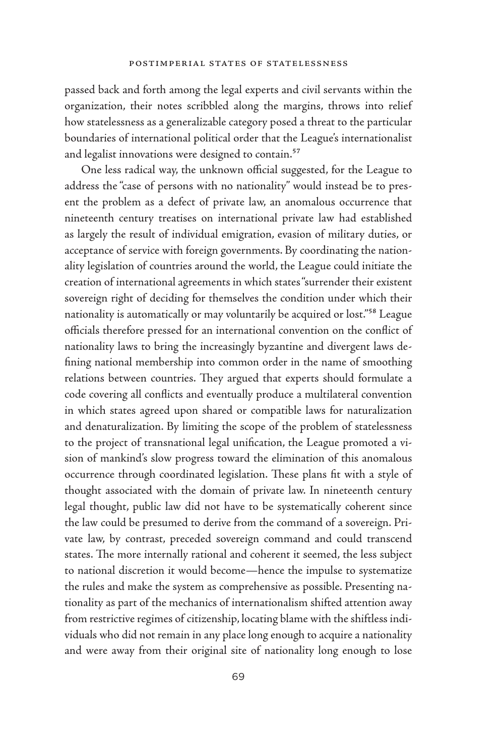passed back and forth among the legal experts and civil servants within the organization, their notes scribbled along the margins, throws into relief how statelessness as a generalizable category posed a threat to the particular boundaries of international political order that the League's internationalist and legalist innovations were designed to contain.<sup>57</sup>

One less radical way, the unknown official suggested, for the League to address the "case of persons with no nationality" would instead be to present the problem as a defect of private law, an anomalous occurrence that nineteenth century treatises on international private law had established as largely the result of individual emigration, evasion of military duties, or acceptance of service with foreign governments. By coordinating the nationality legislation of countries around the world, the League could initiate the creation of international agreements in which states "surrender their existent sovereign right of deciding for themselves the condition under which their nationality is automatically or may voluntarily be acquired or lost."58 League officials therefore pressed for an international convention on the conflict of nationality laws to bring the increasingly byzantine and divergent laws defining national membership into common order in the name of smoothing relations between countries. They argued that experts should formulate a code covering all conflicts and eventually produce a multilateral convention in which states agreed upon shared or compatible laws for naturalization and denaturalization. By limiting the scope of the problem of statelessness to the project of transnational legal unification, the League promoted a vision of mankind's slow progress toward the elimination of this anomalous occurrence through coordinated legislation. These plans fit with a style of thought associated with the domain of private law. In nineteenth century legal thought, public law did not have to be systematically coherent since the law could be presumed to derive from the command of a sovereign. Private law, by contrast, preceded sovereign command and could transcend states. The more internally rational and coherent it seemed, the less subject to national discretion it would become—hence the impulse to systematize the rules and make the system as comprehensive as possible. Presenting nationality as part of the mechanics of internationalism shifted attention away from restrictive regimes of citizenship, locating blame with the shiftless individuals who did not remain in any place long enough to acquire a nationality and were away from their original site of nationality long enough to lose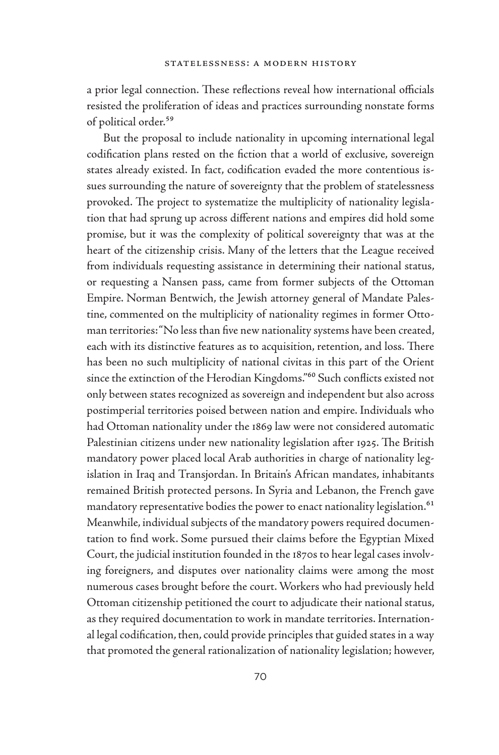a prior legal connection. These reflections reveal how international officials resisted the proliferation of ideas and practices surrounding nonstate forms of political order.59

But the proposal to include nationality in upcoming international legal codification plans rested on the fiction that a world of exclusive, sovereign states already existed. In fact, codification evaded the more contentious issues surrounding the nature of sovereignty that the problem of statelessness provoked. The project to systematize the multiplicity of nationality legislation that had sprung up across different nations and empires did hold some promise, but it was the complexity of political sovereignty that was at the heart of the citizenship crisis. Many of the letters that the League received from individuals requesting assistance in determining their national status, or requesting a Nansen pass, came from former subjects of the Ottoman Empire. Norman Bentwich, the Jewish attorney general of Mandate Palestine, commented on the multiplicity of nationality regimes in former Ottoman territories: "No less than five new nationality systems have been created, each with its distinctive features as to acquisition, retention, and loss. There has been no such multiplicity of national civitas in this part of the Orient since the extinction of the Herodian Kingdoms."<sup>60</sup> Such conflicts existed not only between states recognized as sovereign and independent but also across postimperial territories poised between nation and empire. Individuals who had Ottoman nationality under the 1869 law were not considered automatic Palestinian citizens under new nationality legislation after 1925. The British mandatory power placed local Arab authorities in charge of nationality legislation in Iraq and Transjordan. In Britain's African mandates, inhabitants remained British protected persons. In Syria and Lebanon, the French gave mandatory representative bodies the power to enact nationality legislation.<sup>61</sup> Meanwhile, individual subjects of the mandatory powers required documentation to find work. Some pursued their claims before the Egyptian Mixed Court, the judicial institution founded in the 1870s to hear legal cases involving foreigners, and disputes over nationality claims were among the most numerous cases brought before the court. Workers who had previously held Ottoman citizenship petitioned the court to adjudicate their national status, as they required documentation to work in mandate territories. International legal codification, then, could provide principles that guided states in a way that promoted the general rationalization of nationality legislation; however,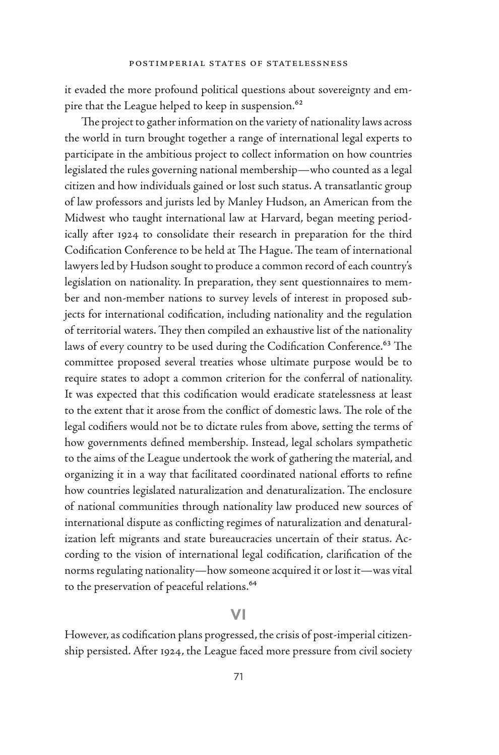it evaded the more profound political questions about sovereignty and empire that the League helped to keep in suspension.<sup>62</sup>

The project to gather information on the variety of nationality laws across the world in turn brought together a range of international legal experts to participate in the ambitious project to collect information on how countries legislated the rules governing national membership—who counted as a legal citizen and how individuals gained or lost such status. A transatlantic group of law professors and jurists led by Manley Hudson, an American from the Midwest who taught international law at Harvard, began meeting periodically after 1924 to consolidate their research in preparation for the third Codification Conference to be held at The Hague. The team of international lawyers led by Hudson sought to produce a common record of each country's legislation on nationality. In preparation, they sent questionnaires to member and non-member nations to survey levels of interest in proposed subjects for international codification, including nationality and the regulation of territorial waters. They then compiled an exhaustive list of the nationality laws of every country to be used during the Codification Conference.<sup>63</sup> The committee proposed several treaties whose ultimate purpose would be to require states to adopt a common criterion for the conferral of nationality. It was expected that this codification would eradicate statelessness at least to the extent that it arose from the conflict of domestic laws. The role of the legal codifiers would not be to dictate rules from above, setting the terms of how governments defined membership. Instead, legal scholars sympathetic to the aims of the League undertook the work of gathering the material, and organizing it in a way that facilitated coordinated national efforts to refine how countries legislated naturalization and denaturalization. The enclosure of national communities through nationality law produced new sources of international dispute as conflicting regimes of naturalization and denaturalization left migrants and state bureaucracies uncertain of their status. According to the vision of international legal codification, clarification of the norms regulating nationality—how someone acquired it or lost it—was vital to the preservation of peaceful relations.<sup>64</sup>

# **VI**

However, as codification plans progressed, the crisis of post-imperial citizenship persisted. After 1924, the League faced more pressure from civil society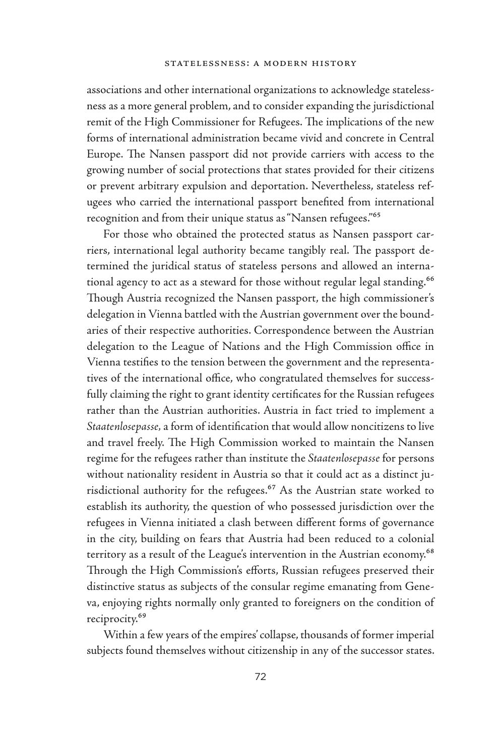associations and other international organizations to acknowledge statelessness as a more general problem, and to consider expanding the jurisdictional remit of the High Commissioner for Refugees. The implications of the new forms of international administration became vivid and concrete in Central Europe. The Nansen passport did not provide carriers with access to the growing number of social protections that states provided for their citizens or prevent arbitrary expulsion and deportation. Nevertheless, stateless refugees who carried the international passport benefited from international recognition and from their unique status as "Nansen refugees."65

For those who obtained the protected status as Nansen passport carriers, international legal authority became tangibly real. The passport determined the juridical status of stateless persons and allowed an international agency to act as a steward for those without regular legal standing.<sup>66</sup> Though Austria recognized the Nansen passport, the high commissioner's delegation in Vienna battled with the Austrian government over the boundaries of their respective authorities. Correspondence between the Austrian delegation to the League of Nations and the High Commission office in Vienna testifies to the tension between the government and the representatives of the international office, who congratulated themselves for successfully claiming the right to grant identity certificates for the Russian refugees rather than the Austrian authorities. Austria in fact tried to implement a *Staatenlosepasse,* a form of identification that would allow noncitizens to live and travel freely. The High Commission worked to maintain the Nansen regime for the refugees rather than institute the *Staatenlosepasse* for persons without nationality resident in Austria so that it could act as a distinct jurisdictional authority for the refugees.<sup>67</sup> As the Austrian state worked to establish its authority, the question of who possessed jurisdiction over the refugees in Vienna initiated a clash between different forms of governance in the city, building on fears that Austria had been reduced to a colonial territory as a result of the League's intervention in the Austrian economy.68 Through the High Commission's efforts, Russian refugees preserved their distinctive status as subjects of the consular regime emanating from Geneva, enjoying rights normally only granted to foreigners on the condition of reciprocity.69

Within a few years of the empires' collapse, thousands of former imperial subjects found themselves without citizenship in any of the successor states.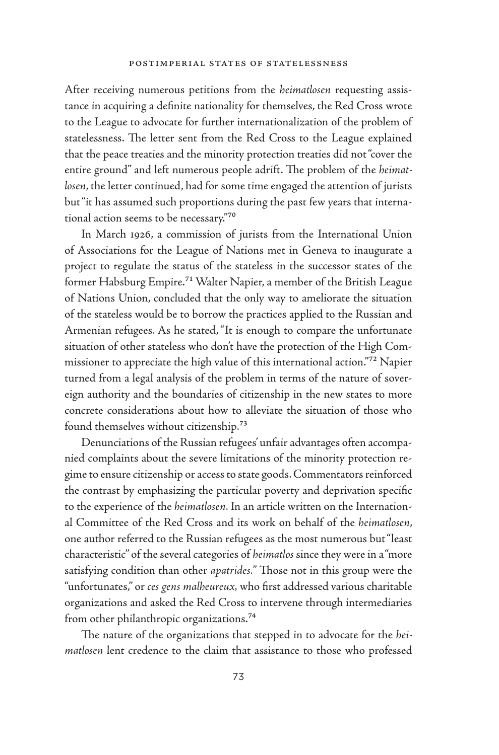After receiving numerous petitions from the *heimatlosen* requesting assistance in acquiring a definite nationality for themselves, the Red Cross wrote to the League to advocate for further internationalization of the problem of statelessness. The letter sent from the Red Cross to the League explained that the peace treaties and the minority protection treaties did not "cover the entire ground" and left numerous people adrift. The problem of the *heimatlosen*, the letter continued, had for some time engaged the attention of jurists but "it has assumed such proportions during the past few years that international action seems to be necessary."70

In March 1926, a commission of jurists from the International Union of Associations for the League of Nations met in Geneva to inaugurate a project to regulate the status of the stateless in the successor states of the former Habsburg Empire.<sup>71</sup> Walter Napier, a member of the British League of Nations Union, concluded that the only way to ameliorate the situation of the stateless would be to borrow the practices applied to the Russian and Armenian refugees. As he stated, "It is enough to compare the unfortunate situation of other stateless who don't have the protection of the High Commissioner to appreciate the high value of this international action."72 Napier turned from a legal analysis of the problem in terms of the nature of sovereign authority and the boundaries of citizenship in the new states to more concrete considerations about how to alleviate the situation of those who found themselves without citizenship.73

Denunciations of the Russian refugees' unfair advantages often accompanied complaints about the severe limitations of the minority protection regime to ensure citizenship or access to state goods. Commentators reinforced the contrast by emphasizing the particular poverty and deprivation specific to the experience of the *heimatlosen*. In an article written on the International Committee of the Red Cross and its work on behalf of the *heimatlosen*, one author referred to the Russian refugees as the most numerous but "least characteristic" of the several categories of *heimatlos* since they were in a "more satisfying condition than other *apatrides.*" Those not in this group were the "unfortunates," or *ces gens malheureux,* who first addressed various charitable organizations and asked the Red Cross to intervene through intermediaries from other philanthropic organizations.74

The nature of the organizations that stepped in to advocate for the *heimatlosen* lent credence to the claim that assistance to those who professed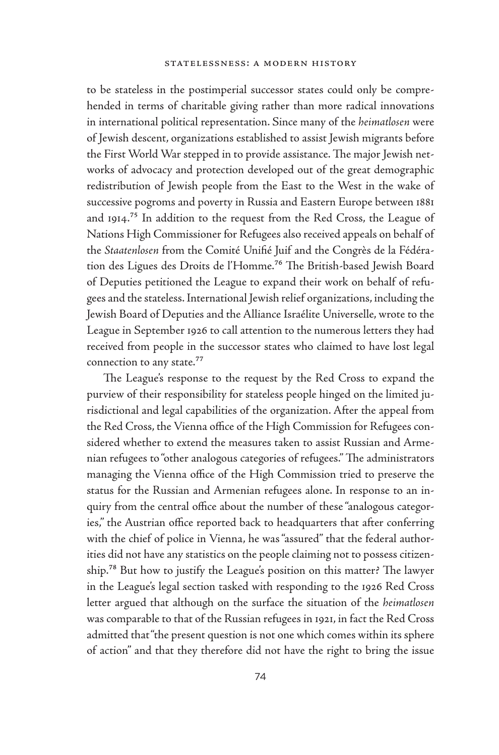to be stateless in the postimperial successor states could only be comprehended in terms of charitable giving rather than more radical innovations in international political representation. Since many of the *heimatlosen* were of Jewish descent, organizations established to assist Jewish migrants before the First World War stepped in to provide assistance. The major Jewish networks of advocacy and protection developed out of the great demographic redistribution of Jewish people from the East to the West in the wake of successive pogroms and poverty in Russia and Eastern Europe between 1881 and 1914.75 In addition to the request from the Red Cross, the League of Nations High Commissioner for Refugees also received appeals on behalf of the *Staatenlosen* from the Comité Unifié Juif and the Congrès de la Fédération des Ligues des Droits de l'Homme.76 The British-based Jewish Board of Deputies petitioned the League to expand their work on behalf of refugees and the stateless. International Jewish relief organizations, including the Jewish Board of Deputies and the Alliance Israélite Universelle, wrote to the League in September 1926 to call attention to the numerous letters they had received from people in the successor states who claimed to have lost legal connection to any state.<sup>77</sup>

The League's response to the request by the Red Cross to expand the purview of their responsibility for stateless people hinged on the limited jurisdictional and legal capabilities of the organization. After the appeal from the Red Cross, the Vienna office of the High Commission for Refugees considered whether to extend the measures taken to assist Russian and Armenian refugees to "other analogous categories of refugees." The administrators managing the Vienna office of the High Commission tried to preserve the status for the Russian and Armenian refugees alone. In response to an inquiry from the central office about the number of these "analogous categories," the Austrian office reported back to headquarters that after conferring with the chief of police in Vienna, he was "assured" that the federal authorities did not have any statistics on the people claiming not to possess citizenship.78 But how to justify the League's position on this matter? The lawyer in the League's legal section tasked with responding to the 1926 Red Cross letter argued that although on the surface the situation of the *heimatlosen* was comparable to that of the Russian refugees in 1921, in fact the Red Cross admitted that "the present question is not one which comes within its sphere of action" and that they therefore did not have the right to bring the issue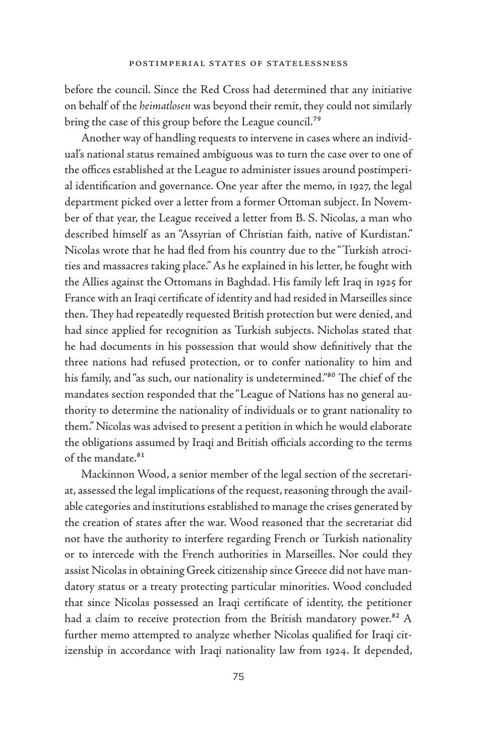before the council. Since the Red Cross had determined that any initiative on behalf of the *heimatlosen* was beyond their remit, they could not similarly bring the case of this group before the League council.<sup>79</sup>

Another way of handling requests to intervene in cases where an individual's national status remained ambiguous was to turn the case over to one of the offices established at the League to administer issues around postimperial identification and governance. One year after the memo, in 1927, the legal department picked over a letter from a former Ottoman subject. In November of that year, the League received a letter from B. S. Nicolas, a man who described himself as an "Assyrian of Christian faith, native of Kurdistan." Nicolas wrote that he had fled from his country due to the "Turkish atrocities and massacres taking place." As he explained in his letter, he fought with the Allies against the Ottomans in Baghdad. His family left Iraq in 1925 for France with an Iraqi certificate of identity and had resided in Marseilles since then. They had repeatedly requested British protection but were denied, and had since applied for recognition as Turkish subjects. Nicholas stated that he had documents in his possession that would show definitively that the three nations had refused protection, or to confer nationality to him and his family, and "as such, our nationality is undetermined."80 The chief of the mandates section responded that the "League of Nations has no general authority to determine the nationality of individuals or to grant nationality to them." Nicolas was advised to present a petition in which he would elaborate the obligations assumed by Iraqi and British officials according to the terms of the mandate.<sup>81</sup>

Mackinnon Wood, a senior member of the legal section of the secretariat, assessed the legal implications of the request, reasoning through the available categories and institutions established to manage the crises generated by the creation of states after the war. Wood reasoned that the secretariat did not have the authority to interfere regarding French or Turkish nationality or to intercede with the French authorities in Marseilles. Nor could they assist Nicolas in obtaining Greek citizenship since Greece did not have mandatory status or a treaty protecting particular minorities. Wood concluded that since Nicolas possessed an Iraqi certificate of identity, the petitioner had a claim to receive protection from the British mandatory power.<sup>82</sup> A further memo attempted to analyze whether Nicolas qualified for Iraqi citizenship in accordance with Iraqi nationality law from 1924. It depended,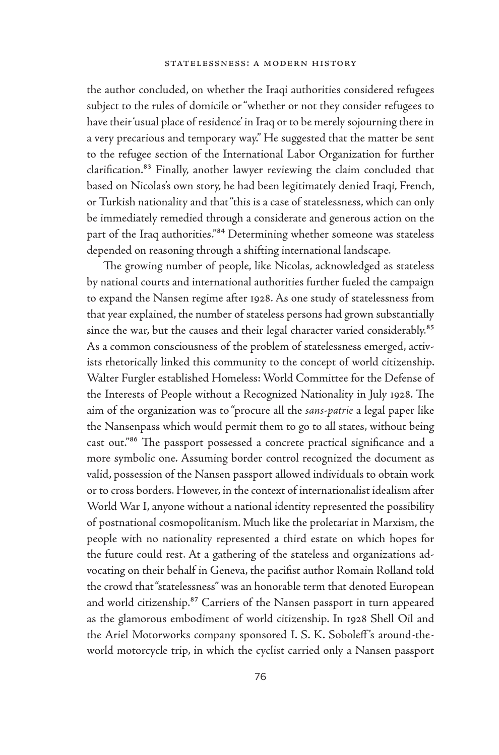the author concluded, on whether the Iraqi authorities considered refugees subject to the rules of domicile or "whether or not they consider refugees to have their 'usual place of residence' in Iraq or to be merely sojourning there in a very precarious and temporary way." He suggested that the matter be sent to the refugee section of the International Labor Organization for further clarification.83 Finally, another lawyer reviewing the claim concluded that based on Nicolas's own story, he had been legitimately denied Iraqi, French, or Turkish nationality and that "this is a case of statelessness, which can only be immediately remedied through a considerate and generous action on the part of the Iraq authorities."<sup>84</sup> Determining whether someone was stateless depended on reasoning through a shifting international landscape.

The growing number of people, like Nicolas, acknowledged as stateless by national courts and international authorities further fueled the campaign to expand the Nansen regime after 1928. As one study of statelessness from that year explained, the number of stateless persons had grown substantially since the war, but the causes and their legal character varied considerably.<sup>85</sup> As a common consciousness of the problem of statelessness emerged, activists rhetorically linked this community to the concept of world citizenship. Walter Furgler established Homeless: World Committee for the Defense of the Interests of People without a Recognized Nationality in July 1928. The aim of the organization was to "procure all the *sans-patrie* a legal paper like the Nansenpass which would permit them to go to all states, without being cast out."86 The passport possessed a concrete practical significance and a more symbolic one. Assuming border control recognized the document as valid, possession of the Nansen passport allowed individuals to obtain work or to cross borders. However, in the context of internationalist idealism after World War I, anyone without a national identity represented the possibility of postnational cosmopolitanism. Much like the proletariat in Marxism, the people with no nationality represented a third estate on which hopes for the future could rest. At a gathering of the stateless and organizations advocating on their behalf in Geneva, the pacifist author Romain Rolland told the crowd that "statelessness" was an honorable term that denoted European and world citizenship.<sup>87</sup> Carriers of the Nansen passport in turn appeared as the glamorous embodiment of world citizenship. In 1928 Shell Oil and the Ariel Motorworks company sponsored I. S. K. Soboleff 's around-theworld motorcycle trip, in which the cyclist carried only a Nansen passport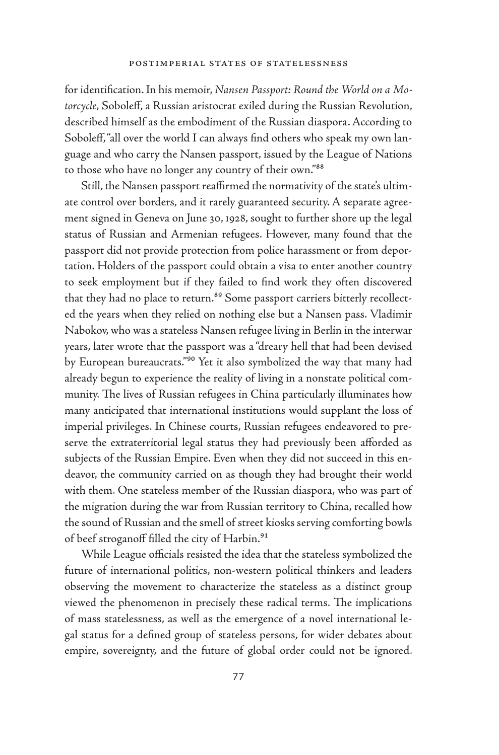for identification. In his memoir, *Nansen Passport: Round the World on a Motorcycle,* Soboleff, a Russian aristocrat exiled during the Russian Revolution, described himself as the embodiment of the Russian diaspora. According to Soboleff, "all over the world I can always find others who speak my own language and who carry the Nansen passport, issued by the League of Nations to those who have no longer any country of their own."88

Still, the Nansen passport reaffirmed the normativity of the state's ultimate control over borders, and it rarely guaranteed security. A separate agreement signed in Geneva on June 30, 1928, sought to further shore up the legal status of Russian and Armenian refugees. However, many found that the passport did not provide protection from police harassment or from deportation. Holders of the passport could obtain a visa to enter another country to seek employment but if they failed to find work they often discovered that they had no place to return.<sup>89</sup> Some passport carriers bitterly recollected the years when they relied on nothing else but a Nansen pass. Vladimir Nabokov, who was a stateless Nansen refugee living in Berlin in the interwar years, later wrote that the passport was a "dreary hell that had been devised by European bureaucrats."90 Yet it also symbolized the way that many had already begun to experience the reality of living in a nonstate political community. The lives of Russian refugees in China particularly illuminates how many anticipated that international institutions would supplant the loss of imperial privileges. In Chinese courts, Russian refugees endeavored to preserve the extraterritorial legal status they had previously been afforded as subjects of the Russian Empire. Even when they did not succeed in this endeavor, the community carried on as though they had brought their world with them. One stateless member of the Russian diaspora, who was part of the migration during the war from Russian territory to China, recalled how the sound of Russian and the smell of street kiosks serving comforting bowls of beef stroganoff filled the city of Harbin.<sup>91</sup>

While League officials resisted the idea that the stateless symbolized the future of international politics, non-western political thinkers and leaders observing the movement to characterize the stateless as a distinct group viewed the phenomenon in precisely these radical terms. The implications of mass statelessness, as well as the emergence of a novel international legal status for a defined group of stateless persons, for wider debates about empire, sovereignty, and the future of global order could not be ignored.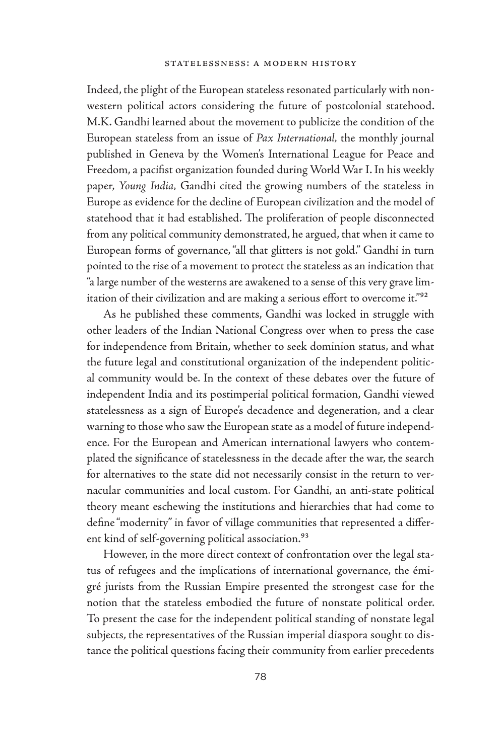Indeed, the plight of the European stateless resonated particularly with nonwestern political actors considering the future of postcolonial statehood. M.K. Gandhi learned about the movement to publicize the condition of the European stateless from an issue of *Pax International,* the monthly journal published in Geneva by the Women's International League for Peace and Freedom, a pacifist organization founded during World War I. In his weekly paper, *Young India,* Gandhi cited the growing numbers of the stateless in Europe as evidence for the decline of European civilization and the model of statehood that it had established. The proliferation of people disconnected from any political community demonstrated, he argued, that when it came to European forms of governance, "all that glitters is not gold." Gandhi in turn pointed to the rise of a movement to protect the stateless as an indication that "a large number of the westerns are awakened to a sense of this very grave limitation of their civilization and are making a serious effort to overcome it."92

As he published these comments, Gandhi was locked in struggle with other leaders of the Indian National Congress over when to press the case for independence from Britain, whether to seek dominion status, and what the future legal and constitutional organization of the independent political community would be. In the context of these debates over the future of independent India and its postimperial political formation, Gandhi viewed statelessness as a sign of Europe's decadence and degeneration, and a clear warning to those who saw the European state as a model of future independence. For the European and American international lawyers who contemplated the significance of statelessness in the decade after the war, the search for alternatives to the state did not necessarily consist in the return to vernacular communities and local custom. For Gandhi, an anti-state political theory meant eschewing the institutions and hierarchies that had come to define "modernity" in favor of village communities that represented a different kind of self-governing political association.<sup>93</sup>

However, in the more direct context of confrontation over the legal status of refugees and the implications of international governance, the émigré jurists from the Russian Empire presented the strongest case for the notion that the stateless embodied the future of nonstate political order. To present the case for the independent political standing of nonstate legal subjects, the representatives of the Russian imperial diaspora sought to distance the political questions facing their community from earlier precedents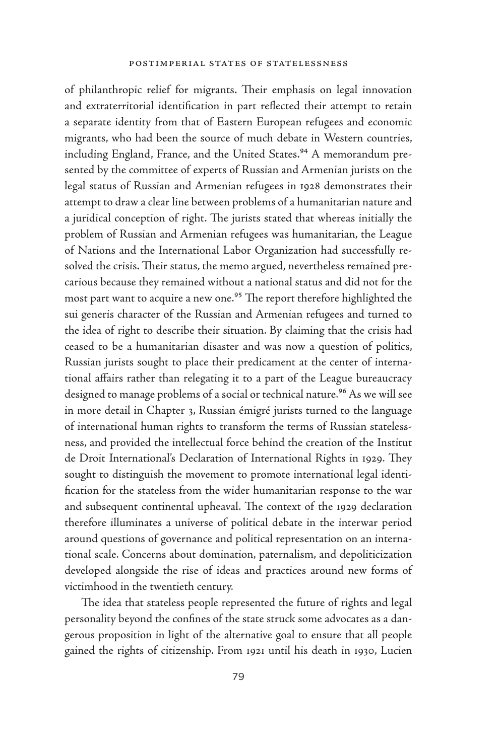of philanthropic relief for migrants. Their emphasis on legal innovation and extraterritorial identification in part reflected their attempt to retain a separate identity from that of Eastern European refugees and economic migrants, who had been the source of much debate in Western countries, including England, France, and the United States.<sup>94</sup> A memorandum presented by the committee of experts of Russian and Armenian jurists on the legal status of Russian and Armenian refugees in 1928 demonstrates their attempt to draw a clear line between problems of a humanitarian nature and a juridical conception of right. The jurists stated that whereas initially the problem of Russian and Armenian refugees was humanitarian, the League of Nations and the International Labor Organization had successfully resolved the crisis. Their status, the memo argued, nevertheless remained precarious because they remained without a national status and did not for the most part want to acquire a new one.<sup>95</sup> The report therefore highlighted the sui generis character of the Russian and Armenian refugees and turned to the idea of right to describe their situation. By claiming that the crisis had ceased to be a humanitarian disaster and was now a question of politics, Russian jurists sought to place their predicament at the center of international affairs rather than relegating it to a part of the League bureaucracy designed to manage problems of a social or technical nature.<sup>96</sup> As we will see in more detail in Chapter 3, Russian émigré jurists turned to the language of international human rights to transform the terms of Russian statelessness, and provided the intellectual force behind the creation of the Institut de Droit International's Declaration of International Rights in 1929. They sought to distinguish the movement to promote international legal identification for the stateless from the wider humanitarian response to the war and subsequent continental upheaval. The context of the 1929 declaration therefore illuminates a universe of political debate in the interwar period around questions of governance and political representation on an international scale. Concerns about domination, paternalism, and depoliticization developed alongside the rise of ideas and practices around new forms of victimhood in the twentieth century.

The idea that stateless people represented the future of rights and legal personality beyond the confines of the state struck some advocates as a dangerous proposition in light of the alternative goal to ensure that all people gained the rights of citizenship. From 1921 until his death in 1930, Lucien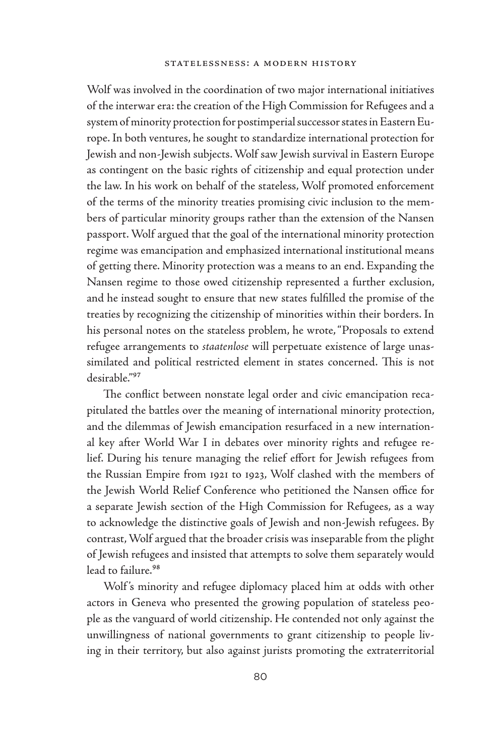Wolf was involved in the coordination of two major international initiatives of the interwar era: the creation of the High Commission for Refugees and a system of minority protection for postimperial successor states in Eastern Europe. In both ventures, he sought to standardize international protection for Jewish and non-Jewish subjects. Wolf saw Jewish survival in Eastern Europe as contingent on the basic rights of citizenship and equal protection under the law. In his work on behalf of the stateless, Wolf promoted enforcement of the terms of the minority treaties promising civic inclusion to the members of particular minority groups rather than the extension of the Nansen passport. Wolf argued that the goal of the international minority protection regime was emancipation and emphasized international institutional means of getting there. Minority protection was a means to an end. Expanding the Nansen regime to those owed citizenship represented a further exclusion, and he instead sought to ensure that new states fulfilled the promise of the treaties by recognizing the citizenship of minorities within their borders. In his personal notes on the stateless problem, he wrote, "Proposals to extend refugee arrangements to *staatenlose* will perpetuate existence of large unassimilated and political restricted element in states concerned. This is not desirable."97

The conflict between nonstate legal order and civic emancipation recapitulated the battles over the meaning of international minority protection, and the dilemmas of Jewish emancipation resurfaced in a new international key after World War I in debates over minority rights and refugee relief. During his tenure managing the relief effort for Jewish refugees from the Russian Empire from 1921 to 1923, Wolf clashed with the members of the Jewish World Relief Conference who petitioned the Nansen office for a separate Jewish section of the High Commission for Refugees, as a way to acknowledge the distinctive goals of Jewish and non-Jewish refugees. By contrast, Wolf argued that the broader crisis was inseparable from the plight of Jewish refugees and insisted that attempts to solve them separately would lead to failure.<sup>98</sup>

Wolf 's minority and refugee diplomacy placed him at odds with other actors in Geneva who presented the growing population of stateless people as the vanguard of world citizenship. He contended not only against the unwillingness of national governments to grant citizenship to people living in their territory, but also against jurists promoting the extraterritorial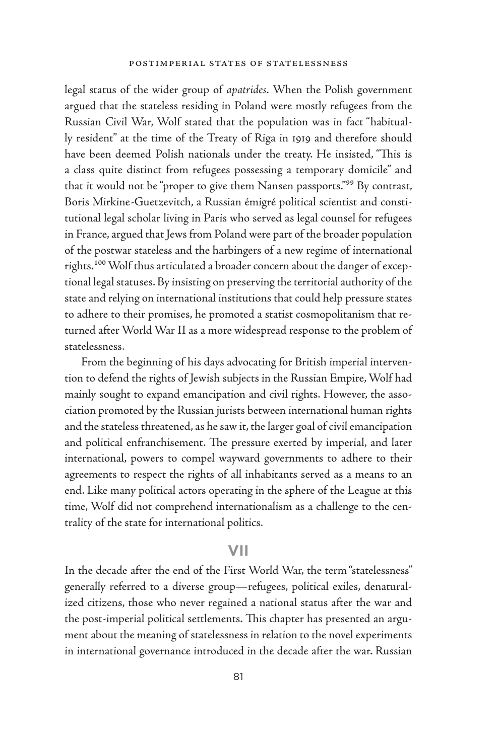legal status of the wider group of *apatrides.* When the Polish government argued that the stateless residing in Poland were mostly refugees from the Russian Civil War, Wolf stated that the population was in fact "habitually resident" at the time of the Treaty of Riga in 1919 and therefore should have been deemed Polish nationals under the treaty. He insisted, "This is a class quite distinct from refugees possessing a temporary domicile" and that it would not be "proper to give them Nansen passports."99 By contrast, Boris Mirkine-Guetzevitch, a Russian émigré political scientist and constitutional legal scholar living in Paris who served as legal counsel for refugees in France, argued that Jews from Poland were part of the broader population of the postwar stateless and the harbingers of a new regime of international rights.100 Wolf thus articulated a broader concern about the danger of exceptional legal statuses. By insisting on preserving the territorial authority of the state and relying on international institutions that could help pressure states to adhere to their promises, he promoted a statist cosmopolitanism that returned after World War II as a more widespread response to the problem of statelessness.

From the beginning of his days advocating for British imperial intervention to defend the rights of Jewish subjects in the Russian Empire, Wolf had mainly sought to expand emancipation and civil rights. However, the association promoted by the Russian jurists between international human rights and the stateless threatened, as he saw it, the larger goal of civil emancipation and political enfranchisement. The pressure exerted by imperial, and later international, powers to compel wayward governments to adhere to their agreements to respect the rights of all inhabitants served as a means to an end. Like many political actors operating in the sphere of the League at this time, Wolf did not comprehend internationalism as a challenge to the centrality of the state for international politics.

# **VII**

In the decade after the end of the First World War, the term "statelessness" generally referred to a diverse group—refugees, political exiles, denaturalized citizens, those who never regained a national status after the war and the post-imperial political settlements. This chapter has presented an argument about the meaning of statelessness in relation to the novel experiments in international governance introduced in the decade after the war. Russian